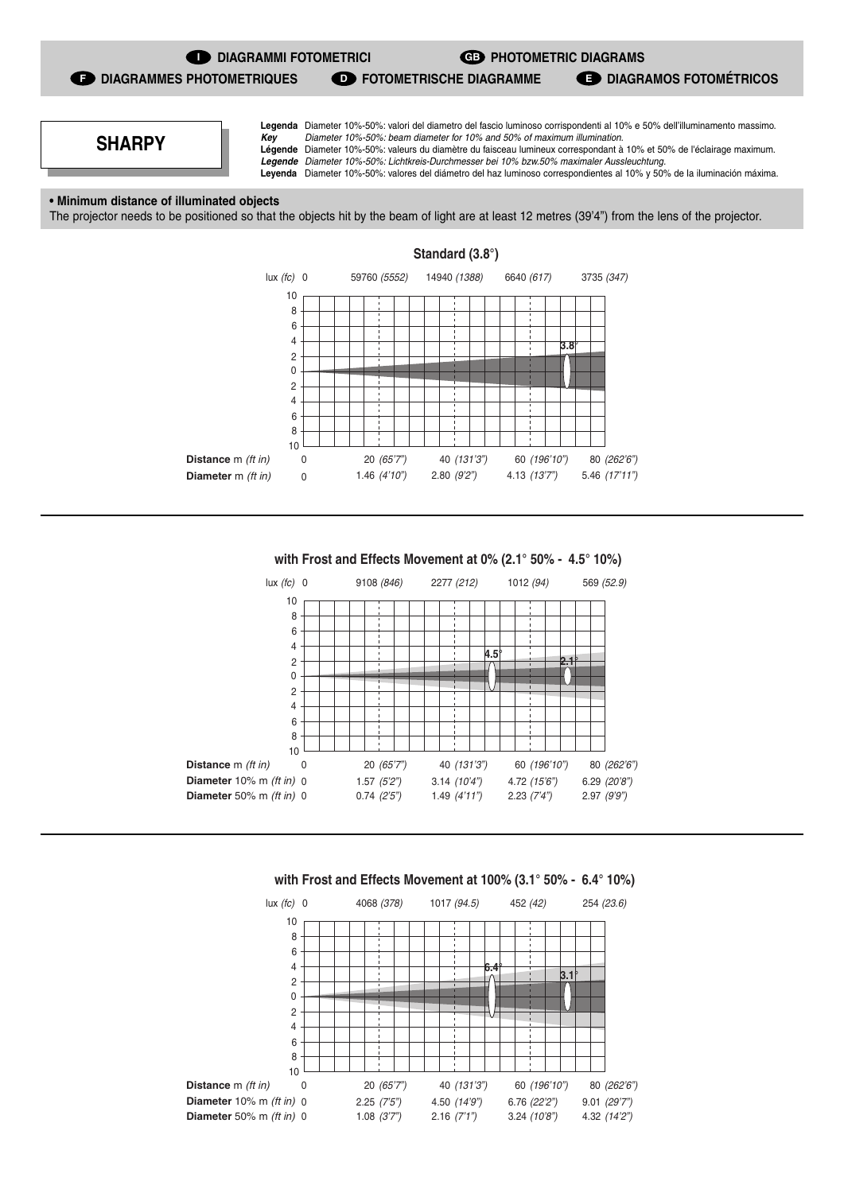

**GB** PHOTOMETRIC DIAGRAMS

**D** FOTOMETRISCHE DIAGRAMME **DIAGRAMOS FOTOMÉTRICOS** 

**F** DIAGRAMMES PHOTOMETRIQUES

**Legenda** Diameter 10%-50%: valori del diametro del fascio luminoso corrispondenti al 10% e 50% dell'illuminamento massimo. **Key** Diameter 10%-50%: beam diameter for 10% and 50% of maximum illumination. **Légende** Diameter 10%-50%: valeurs du diamètre du faisceau lumineux correspondant à 10% et 50% de l'éclairage maximum.

**Legende** Diameter 10%-50%: Lichtkreis-Durchmesser bei 10% bzw.50% maximaler Aussleuchtung. **Leyenda** Diameter 10%-50%: valores del diámetro del haz luminoso correspondientes al 10% y 50% de la iluminación máxima.

**• Minimum distance of illuminated objects**

**SHARPY**

The projector needs to be positioned so that the objects hit by the beam of light are at least 12 metres (39'4") from the lens of the projector.



**with Frost and Effects Movement at 0% (2.1° 50% - 4.5° 10%)**